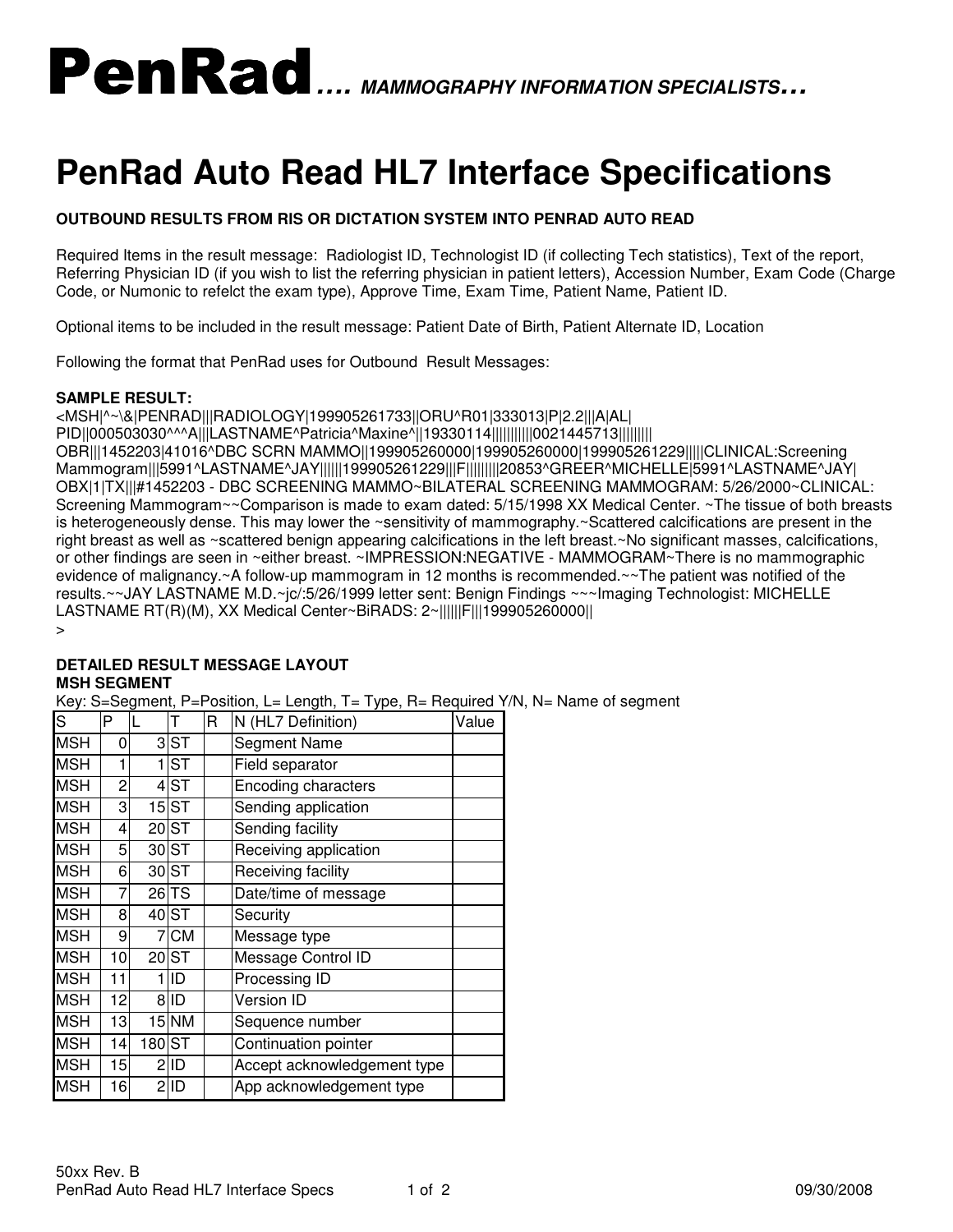# PenRad**…. MAMMOGRAPHY INFORMATION SPECIALISTS…**

## **PenRad Auto Read HL7 Interface Specifications**

### **OUTBOUND RESULTS FROM RIS OR DICTATION SYSTEM INTO PENRAD AUTO READ**

Required Items in the result message: Radiologist ID, Technologist ID (if collecting Tech statistics), Text of the report, Referring Physician ID (if you wish to list the referring physician in patient letters), Accession Number, Exam Code (Charge Code, or Numonic to refelct the exam type), Approve Time, Exam Time, Patient Name, Patient ID.

Optional items to be included in the result message: Patient Date of Birth, Patient Alternate ID, Location

Following the format that PenRad uses for Outbound Result Messages:

#### **SAMPLE RESULT:**

<MSH|^~\&|PENRAD|||RADIOLOGY|199905261733||ORU^R01|333013|P|2.2|||A|AL| PID||000503030^^^A|||LASTNAME^Patricia^Maxine^||19330114|||||||||||0021445713||||||||| OBR|||1452203|41016^DBC SCRN MAMMO||199905260000|199905260000|199905261229|||||CLINICAL:Screening Mammogram|||5991^LASTNAME^JAY||||||199905261229|||F|||||||||20853^GREER^MICHELLE|5991^LASTNAME^JAY| OBX|1|TX|||#1452203 - DBC SCREENING MAMMO~BILATERAL SCREENING MAMMOGRAM: 5/26/2000~CLINICAL: Screening Mammogram~~Comparison is made to exam dated: 5/15/1998 XX Medical Center. ~The tissue of both breasts is heterogeneously dense. This may lower the ~sensitivity of mammography.~Scattered calcifications are present in the right breast as well as ~scattered benign appearing calcifications in the left breast.~No significant masses, calcifications, or other findings are seen in ~either breast. ~IMPRESSION:NEGATIVE - MAMMOGRAM~There is no mammographic evidence of malignancy.~A follow-up mammogram in 12 months is recommended.~~The patient was notified of the results.~~JAY LASTNAME M.D.~jc/:5/26/1999 letter sent: Benign Findings ~~~Imaging Technologist: MICHELLE LASTNAME RT(R)(M), XX Medical Center~BiRADS: 2~||||||F|||199905260000||

>

#### **DETAILED RESULT MESSAGE LAYOUT MSH SEGMENT**

Key: S=Segment, P=Position, L= Length, T= Type, R= Required Y/N, N= Name of segment

| S          | P  | L      | т                  | R | N (HL7 Definition)          | Value |
|------------|----|--------|--------------------|---|-----------------------------|-------|
| <b>MSH</b> | 0  |        | 3 <sub>ST</sub>    |   | Segment Name                |       |
| <b>MSH</b> | 1  |        | $1$ ST             |   | Field separator             |       |
| <b>MSH</b> | 2  |        | $4$ ST             |   | <b>Encoding characters</b>  |       |
| <b>MSH</b> | 3  |        | $15$ $ST$          |   | Sending application         |       |
| <b>MSH</b> | 4  |        | $20$ ST            |   | Sending facility            |       |
| <b>MSH</b> | 5  |        | 30 ST              |   | Receiving application       |       |
| <b>MSH</b> | 6  |        | 30 <sub>ST</sub>   |   | Receiving facility          |       |
| <b>MSH</b> | 7  |        | $26 T\overline{S}$ |   | Date/time of message        |       |
| <b>MSH</b> | 8  |        | 40 ST              |   | Security                    |       |
| <b>MSH</b> | 9  |        | 7 CM               |   | Message type                |       |
| <b>MSH</b> | 10 |        | 20 ST              |   | Message Control ID          |       |
| <b>MSH</b> | 11 |        | 1 ID               |   | Processing ID               |       |
| <b>MSH</b> | 12 |        | 8 ID               |   | <b>Version ID</b>           |       |
| <b>MSH</b> | 13 |        | $15$ NM            |   | Sequence number             |       |
| <b>MSH</b> | 14 | 180 ST |                    |   | Continuation pointer        |       |
| <b>MSH</b> | 15 |        | 2ID                |   | Accept acknowledgement type |       |
| <b>MSH</b> | 16 |        | $2$ ID             |   | App acknowledgement type    |       |